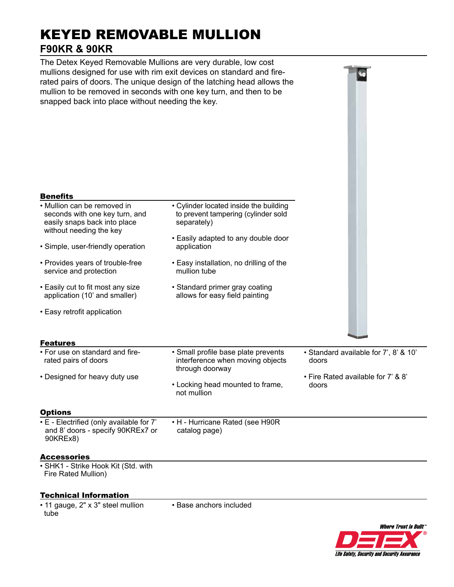# KEYED REMOVABLE MULLION **F90KR & 90KR**

The Detex Keyed Removable Mullions are very durable, low cost mullions designed for use with rim exit devices on standard and firerated pairs of doors. The unique design of the latching head allows the mullion to be removed in seconds with one key turn, and then to be snapped back into place without needing the key.

| <b>Benefits</b>                                                                                                          |                                                                                                                                     |                                                |
|--------------------------------------------------------------------------------------------------------------------------|-------------------------------------------------------------------------------------------------------------------------------------|------------------------------------------------|
| • Mullion can be removed in<br>seconds with one key turn, and<br>easily snaps back into place<br>without needing the key | • Cylinder located inside the building<br>to prevent tampering (cylinder sold<br>separately)<br>• Easily adapted to any double door |                                                |
| • Simple, user-friendly operation                                                                                        | application                                                                                                                         |                                                |
| • Provides years of trouble-free<br>service and protection                                                               | • Easy installation, no drilling of the<br>mullion tube                                                                             |                                                |
| • Easily cut to fit most any size<br>application (10' and smaller)                                                       | • Standard primer gray coating<br>allows for easy field painting                                                                    |                                                |
| • Easy retrofit application                                                                                              |                                                                                                                                     |                                                |
| <b>Features</b>                                                                                                          |                                                                                                                                     |                                                |
| • For use on standard and fire-<br>rated pairs of doors                                                                  | · Small profile base plate prevents<br>interference when moving objects<br>through doorway                                          | • Standard available for 7', 8' & 10'<br>doors |
| • Designed for heavy duty use                                                                                            | • Locking head mounted to frame,<br>not mullion                                                                                     | • Fire Rated available for 7' & 8'<br>doors    |
| <b>Options</b>                                                                                                           |                                                                                                                                     |                                                |
| • E - Electrified (only available for 7'<br>and 8' doors - specify 90KREx7 or<br>90KREx8)                                | • H - Hurricane Rated (see H90R<br>catalog page)                                                                                    |                                                |
| <b>Accessories</b>                                                                                                       |                                                                                                                                     |                                                |
| • SHK1 - Strike Hook Kit (Std. with<br>Fire Rated Mullion)                                                               |                                                                                                                                     |                                                |

### Technical Information

• 11 gauge, 2" x 3" steel mullion tube

• Base anchors included



**G**